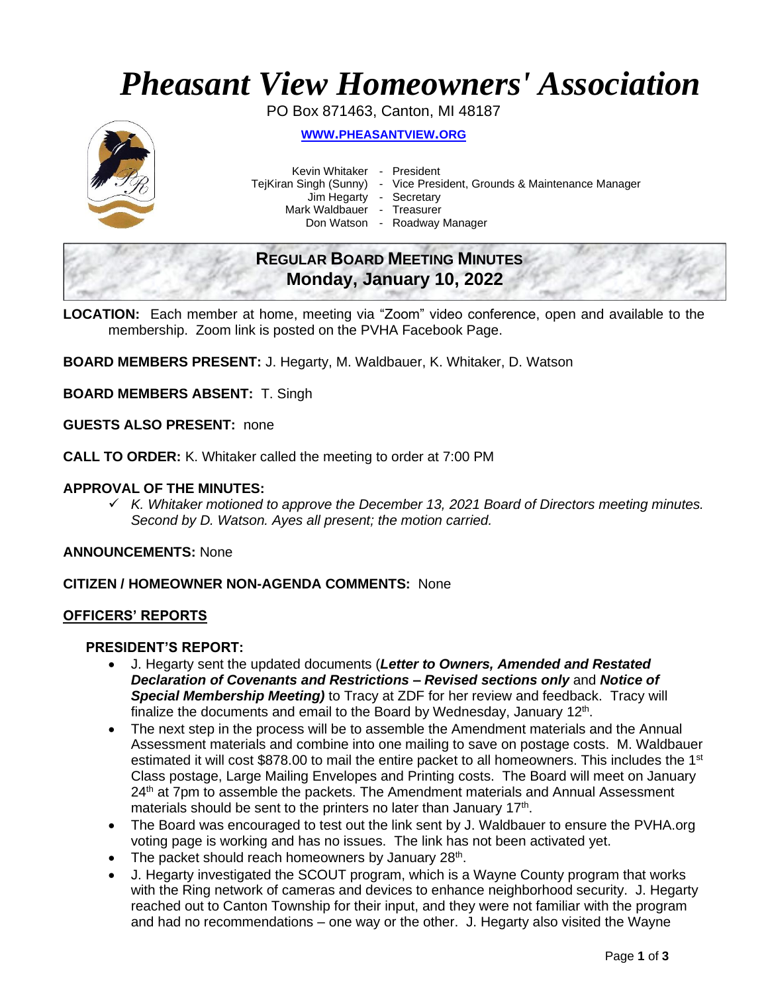# *Pheasant View Homeowners' Association*

PO Box 871463, Canton, MI 48187



**WWW.[PHEASANTVIEW](http://www.pheasantview.org/).ORG**

Kevin Whitaker - President

TejKiran Singh (Sunny) - Vice President, Grounds & Maintenance Manager

Jim Hegarty - Secretary

Mark Waldbauer - Treasurer

Don Watson - Roadway Manager

# **REGULAR BOARD MEETING MINUTES Monday, January 10, 2022**

**LOCATION:** Each member at home, meeting via "Zoom" video conference, open and available to the membership. Zoom link is posted on the PVHA Facebook Page.

**BOARD MEMBERS PRESENT:** J. Hegarty, M. Waldbauer, K. Whitaker, D. Watson

**BOARD MEMBERS ABSENT:** T. Singh

**GUESTS ALSO PRESENT:** none

**CALL TO ORDER:** K. Whitaker called the meeting to order at 7:00 PM

### **APPROVAL OF THE MINUTES:**

✓ *K. Whitaker motioned to approve the December 13, 2021 Board of Directors meeting minutes. Second by D. Watson. Ayes all present; the motion carried.*

**ANNOUNCEMENTS:** None

### **CITIZEN / HOMEOWNER NON-AGENDA COMMENTS:** None

#### **OFFICERS' REPORTS**

#### **PRESIDENT'S REPORT:**

- J. Hegarty sent the updated documents (*Letter to Owners, Amended and Restated Declaration of Covenants and Restrictions – Revised sections only* and *Notice of Special Membership Meeting)* to Tracy at ZDF for her review and feedback. Tracy will finalize the documents and email to the Board by Wednesday, January  $12<sup>th</sup>$ .
- The next step in the process will be to assemble the Amendment materials and the Annual Assessment materials and combine into one mailing to save on postage costs. M. Waldbauer estimated it will cost \$878.00 to mail the entire packet to all homeowners. This includes the 1<sup>st</sup> Class postage, Large Mailing Envelopes and Printing costs. The Board will meet on January 24<sup>th</sup> at 7pm to assemble the packets. The Amendment materials and Annual Assessment materials should be sent to the printers no later than January  $17<sup>th</sup>$ .
- The Board was encouraged to test out the link sent by J. Waldbauer to ensure the PVHA.org voting page is working and has no issues. The link has not been activated yet.
- The packet should reach homeowners by January 28<sup>th</sup>.
- J. Hegarty investigated the SCOUT program, which is a Wayne County program that works with the Ring network of cameras and devices to enhance neighborhood security. J. Hegarty reached out to Canton Township for their input, and they were not familiar with the program and had no recommendations – one way or the other. J. Hegarty also visited the Wayne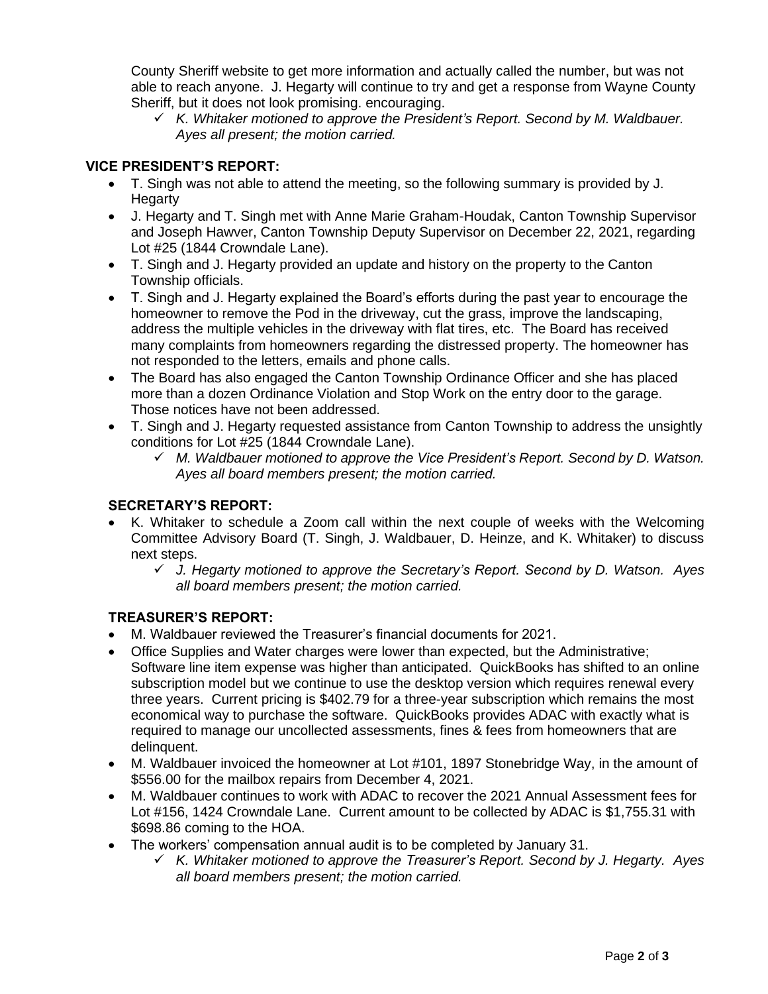County Sheriff website to get more information and actually called the number, but was not able to reach anyone. J. Hegarty will continue to try and get a response from Wayne County Sheriff, but it does not look promising. encouraging.

✓ *K. Whitaker motioned to approve the President's Report. Second by M. Waldbauer. Ayes all present; the motion carried.* 

## **VICE PRESIDENT'S REPORT:**

- T. Singh was not able to attend the meeting, so the following summary is provided by J. **Hegarty**
- J. Hegarty and T. Singh met with Anne Marie Graham-Houdak, Canton Township Supervisor and Joseph Hawver, Canton Township Deputy Supervisor on December 22, 2021, regarding Lot #25 (1844 Crowndale Lane).
- T. Singh and J. Hegarty provided an update and history on the property to the Canton Township officials.
- T. Singh and J. Hegarty explained the Board's efforts during the past year to encourage the homeowner to remove the Pod in the driveway, cut the grass, improve the landscaping, address the multiple vehicles in the driveway with flat tires, etc. The Board has received many complaints from homeowners regarding the distressed property. The homeowner has not responded to the letters, emails and phone calls.
- The Board has also engaged the Canton Township Ordinance Officer and she has placed more than a dozen Ordinance Violation and Stop Work on the entry door to the garage. Those notices have not been addressed.
- T. Singh and J. Hegarty requested assistance from Canton Township to address the unsightly conditions for Lot #25 (1844 Crowndale Lane).
	- ✓ *M. Waldbauer motioned to approve the Vice President's Report. Second by D. Watson. Ayes all board members present; the motion carried.*

### **SECRETARY'S REPORT:**

- K. Whitaker to schedule a Zoom call within the next couple of weeks with the Welcoming Committee Advisory Board (T. Singh, J. Waldbauer, D. Heinze, and K. Whitaker) to discuss next steps.
	- ✓ *J. Hegarty motioned to approve the Secretary's Report. Second by D. Watson. Ayes all board members present; the motion carried.*

### **TREASURER'S REPORT:**

- M. Waldbauer reviewed the Treasurer's financial documents for 2021.
- Office Supplies and Water charges were lower than expected, but the Administrative; Software line item expense was higher than anticipated. QuickBooks has shifted to an online subscription model but we continue to use the desktop version which requires renewal every three years. Current pricing is \$402.79 for a three-year subscription which remains the most economical way to purchase the software. QuickBooks provides ADAC with exactly what is required to manage our uncollected assessments, fines & fees from homeowners that are delinquent.
- M. Waldbauer invoiced the homeowner at Lot #101, 1897 Stonebridge Way, in the amount of \$556.00 for the mailbox repairs from December 4, 2021.
- M. Waldbauer continues to work with ADAC to recover the 2021 Annual Assessment fees for Lot #156, 1424 Crowndale Lane. Current amount to be collected by ADAC is \$1,755.31 with \$698.86 coming to the HOA.
- The workers' compensation annual audit is to be completed by January 31.
	- ✓ *K. Whitaker motioned to approve the Treasurer's Report. Second by J. Hegarty. Ayes all board members present; the motion carried.*